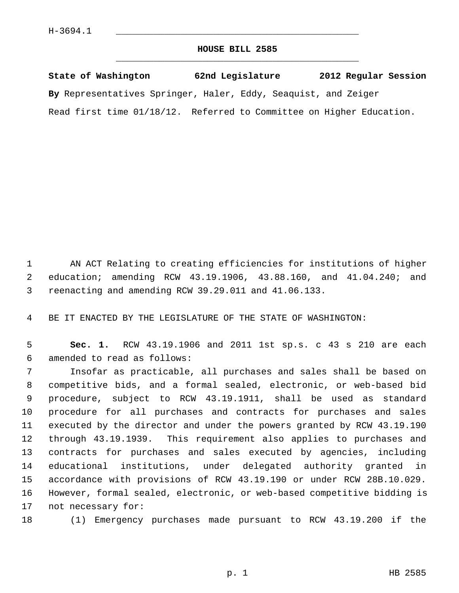## **HOUSE BILL 2585** \_\_\_\_\_\_\_\_\_\_\_\_\_\_\_\_\_\_\_\_\_\_\_\_\_\_\_\_\_\_\_\_\_\_\_\_\_\_\_\_\_\_\_\_\_

**State of Washington 62nd Legislature 2012 Regular Session By** Representatives Springer, Haler, Eddy, Seaquist, and Zeiger Read first time 01/18/12. Referred to Committee on Higher Education.

 1 AN ACT Relating to creating efficiencies for institutions of higher 2 education; amending RCW 43.19.1906, 43.88.160, and 41.04.240; and 3 reenacting and amending RCW 39.29.011 and 41.06.133.

4 BE IT ENACTED BY THE LEGISLATURE OF THE STATE OF WASHINGTON:

 5 **Sec. 1.** RCW 43.19.1906 and 2011 1st sp.s. c 43 s 210 are each 6 amended to read as follows:

 7 Insofar as practicable, all purchases and sales shall be based on 8 competitive bids, and a formal sealed, electronic, or web-based bid 9 procedure, subject to RCW 43.19.1911, shall be used as standard 10 procedure for all purchases and contracts for purchases and sales 11 executed by the director and under the powers granted by RCW 43.19.190 12 through 43.19.1939. This requirement also applies to purchases and 13 contracts for purchases and sales executed by agencies, including 14 educational institutions, under delegated authority granted in 15 accordance with provisions of RCW 43.19.190 or under RCW 28B.10.029. 16 However, formal sealed, electronic, or web-based competitive bidding is 17 not necessary for:

18 (1) Emergency purchases made pursuant to RCW 43.19.200 if the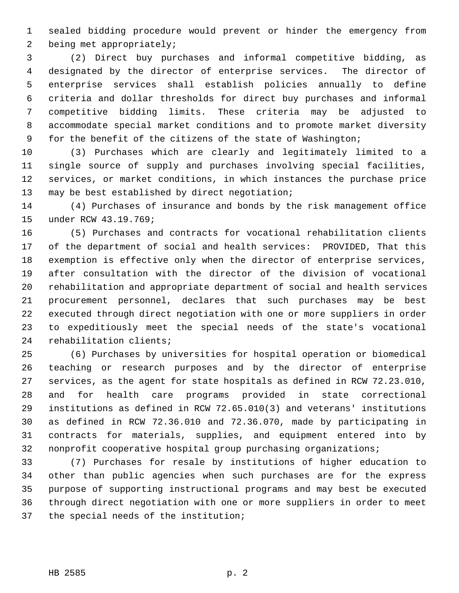1 sealed bidding procedure would prevent or hinder the emergency from 2 being met appropriately;

 3 (2) Direct buy purchases and informal competitive bidding, as 4 designated by the director of enterprise services. The director of 5 enterprise services shall establish policies annually to define 6 criteria and dollar thresholds for direct buy purchases and informal 7 competitive bidding limits. These criteria may be adjusted to 8 accommodate special market conditions and to promote market diversity 9 for the benefit of the citizens of the state of Washington;

10 (3) Purchases which are clearly and legitimately limited to a 11 single source of supply and purchases involving special facilities, 12 services, or market conditions, in which instances the purchase price 13 may be best established by direct negotiation;

14 (4) Purchases of insurance and bonds by the risk management office 15 under RCW 43.19.769;

16 (5) Purchases and contracts for vocational rehabilitation clients 17 of the department of social and health services: PROVIDED, That this 18 exemption is effective only when the director of enterprise services, 19 after consultation with the director of the division of vocational 20 rehabilitation and appropriate department of social and health services 21 procurement personnel, declares that such purchases may be best 22 executed through direct negotiation with one or more suppliers in order 23 to expeditiously meet the special needs of the state's vocational 24 rehabilitation clients;

25 (6) Purchases by universities for hospital operation or biomedical 26 teaching or research purposes and by the director of enterprise 27 services, as the agent for state hospitals as defined in RCW 72.23.010, 28 and for health care programs provided in state correctional 29 institutions as defined in RCW 72.65.010(3) and veterans' institutions 30 as defined in RCW 72.36.010 and 72.36.070, made by participating in 31 contracts for materials, supplies, and equipment entered into by 32 nonprofit cooperative hospital group purchasing organizations;

33 (7) Purchases for resale by institutions of higher education to 34 other than public agencies when such purchases are for the express 35 purpose of supporting instructional programs and may best be executed 36 through direct negotiation with one or more suppliers in order to meet 37 the special needs of the institution;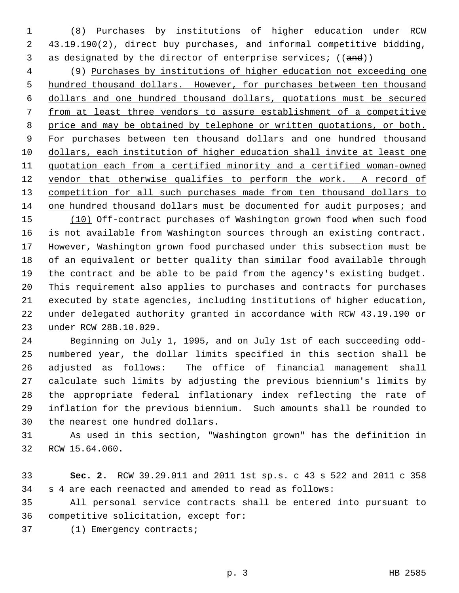1 (8) Purchases by institutions of higher education under RCW 2 43.19.190(2), direct buy purchases, and informal competitive bidding, 3 as designated by the director of enterprise services;  $((and))$ 

 4 (9) Purchases by institutions of higher education not exceeding one hundred thousand dollars. However, for purchases between ten thousand dollars and one hundred thousand dollars, quotations must be secured from at least three vendors to assure establishment of a competitive price and may be obtained by telephone or written quotations, or both. For purchases between ten thousand dollars and one hundred thousand dollars, each institution of higher education shall invite at least one quotation each from a certified minority and a certified woman-owned vendor that otherwise qualifies to perform the work. A record of competition for all such purchases made from ten thousand dollars to 14 one hundred thousand dollars must be documented for audit purposes; and

15 (10) Off-contract purchases of Washington grown food when such food 16 is not available from Washington sources through an existing contract. 17 However, Washington grown food purchased under this subsection must be 18 of an equivalent or better quality than similar food available through 19 the contract and be able to be paid from the agency's existing budget. 20 This requirement also applies to purchases and contracts for purchases 21 executed by state agencies, including institutions of higher education, 22 under delegated authority granted in accordance with RCW 43.19.190 or 23 under RCW 28B.10.029.

24 Beginning on July 1, 1995, and on July 1st of each succeeding odd-25 numbered year, the dollar limits specified in this section shall be 26 adjusted as follows: The office of financial management shall 27 calculate such limits by adjusting the previous biennium's limits by 28 the appropriate federal inflationary index reflecting the rate of 29 inflation for the previous biennium. Such amounts shall be rounded to 30 the nearest one hundred dollars.

31 As used in this section, "Washington grown" has the definition in 32 RCW 15.64.060.

33 **Sec. 2.** RCW 39.29.011 and 2011 1st sp.s. c 43 s 522 and 2011 c 358 34 s 4 are each reenacted and amended to read as follows:

35 All personal service contracts shall be entered into pursuant to 36 competitive solicitation, except for:

37 (1) Emergency contracts;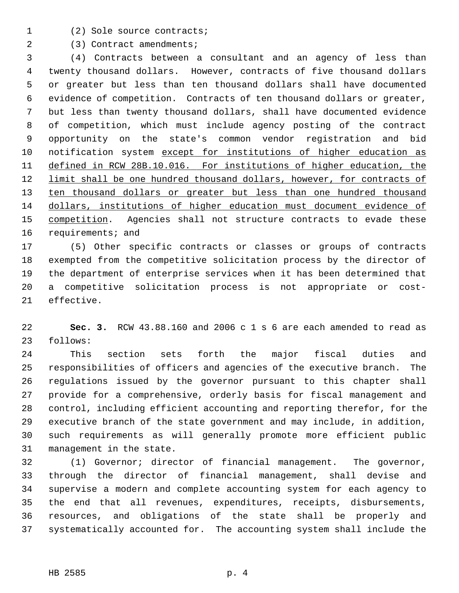- 
- 1 (2) Sole source contracts;

2 (3) Contract amendments;

 3 (4) Contracts between a consultant and an agency of less than 4 twenty thousand dollars. However, contracts of five thousand dollars 5 or greater but less than ten thousand dollars shall have documented 6 evidence of competition. Contracts of ten thousand dollars or greater, 7 but less than twenty thousand dollars, shall have documented evidence 8 of competition, which must include agency posting of the contract 9 opportunity on the state's common vendor registration and bid 10 notification system except for institutions of higher education as 11 defined in RCW 28B.10.016. For institutions of higher education, the 12 limit shall be one hundred thousand dollars, however, for contracts of 13 ten thousand dollars or greater but less than one hundred thousand 14 dollars, institutions of higher education must document evidence of 15 competition. Agencies shall not structure contracts to evade these 16 requirements; and

17 (5) Other specific contracts or classes or groups of contracts 18 exempted from the competitive solicitation process by the director of 19 the department of enterprise services when it has been determined that 20 a competitive solicitation process is not appropriate or cost-21 effective.

22 **Sec. 3.** RCW 43.88.160 and 2006 c 1 s 6 are each amended to read as 23 follows:

24 This section sets forth the major fiscal duties and 25 responsibilities of officers and agencies of the executive branch. The 26 regulations issued by the governor pursuant to this chapter shall 27 provide for a comprehensive, orderly basis for fiscal management and 28 control, including efficient accounting and reporting therefor, for the 29 executive branch of the state government and may include, in addition, 30 such requirements as will generally promote more efficient public 31 management in the state.

32 (1) Governor; director of financial management. The governor, 33 through the director of financial management, shall devise and 34 supervise a modern and complete accounting system for each agency to 35 the end that all revenues, expenditures, receipts, disbursements, 36 resources, and obligations of the state shall be properly and 37 systematically accounted for. The accounting system shall include the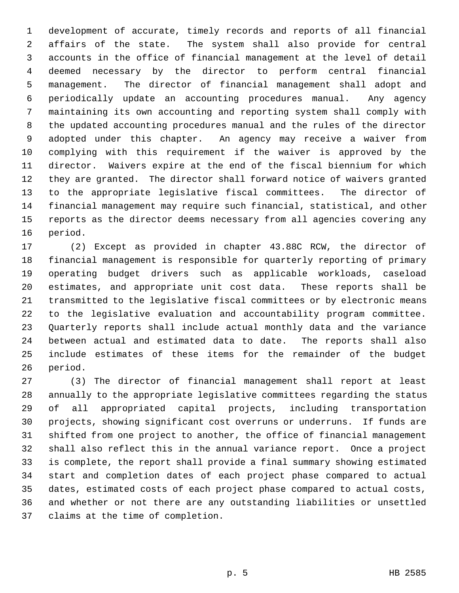1 development of accurate, timely records and reports of all financial 2 affairs of the state. The system shall also provide for central 3 accounts in the office of financial management at the level of detail 4 deemed necessary by the director to perform central financial 5 management. The director of financial management shall adopt and 6 periodically update an accounting procedures manual. Any agency 7 maintaining its own accounting and reporting system shall comply with 8 the updated accounting procedures manual and the rules of the director 9 adopted under this chapter. An agency may receive a waiver from 10 complying with this requirement if the waiver is approved by the 11 director. Waivers expire at the end of the fiscal biennium for which 12 they are granted. The director shall forward notice of waivers granted 13 to the appropriate legislative fiscal committees. The director of 14 financial management may require such financial, statistical, and other 15 reports as the director deems necessary from all agencies covering any 16 period.

17 (2) Except as provided in chapter 43.88C RCW, the director of 18 financial management is responsible for quarterly reporting of primary 19 operating budget drivers such as applicable workloads, caseload 20 estimates, and appropriate unit cost data. These reports shall be 21 transmitted to the legislative fiscal committees or by electronic means 22 to the legislative evaluation and accountability program committee. 23 Quarterly reports shall include actual monthly data and the variance 24 between actual and estimated data to date. The reports shall also 25 include estimates of these items for the remainder of the budget 26 period.

27 (3) The director of financial management shall report at least 28 annually to the appropriate legislative committees regarding the status 29 of all appropriated capital projects, including transportation 30 projects, showing significant cost overruns or underruns. If funds are 31 shifted from one project to another, the office of financial management 32 shall also reflect this in the annual variance report. Once a project 33 is complete, the report shall provide a final summary showing estimated 34 start and completion dates of each project phase compared to actual 35 dates, estimated costs of each project phase compared to actual costs, 36 and whether or not there are any outstanding liabilities or unsettled 37 claims at the time of completion.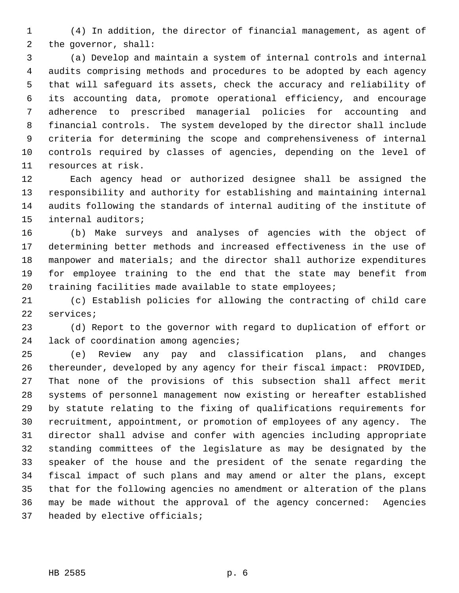1 (4) In addition, the director of financial management, as agent of 2 the governor, shall:

 3 (a) Develop and maintain a system of internal controls and internal 4 audits comprising methods and procedures to be adopted by each agency 5 that will safeguard its assets, check the accuracy and reliability of 6 its accounting data, promote operational efficiency, and encourage 7 adherence to prescribed managerial policies for accounting and 8 financial controls. The system developed by the director shall include 9 criteria for determining the scope and comprehensiveness of internal 10 controls required by classes of agencies, depending on the level of 11 resources at risk.

12 Each agency head or authorized designee shall be assigned the 13 responsibility and authority for establishing and maintaining internal 14 audits following the standards of internal auditing of the institute of 15 internal auditors;

16 (b) Make surveys and analyses of agencies with the object of 17 determining better methods and increased effectiveness in the use of 18 manpower and materials; and the director shall authorize expenditures 19 for employee training to the end that the state may benefit from 20 training facilities made available to state employees;

21 (c) Establish policies for allowing the contracting of child care 22 services;

23 (d) Report to the governor with regard to duplication of effort or 24 lack of coordination among agencies;

25 (e) Review any pay and classification plans, and changes 26 thereunder, developed by any agency for their fiscal impact: PROVIDED, 27 That none of the provisions of this subsection shall affect merit 28 systems of personnel management now existing or hereafter established 29 by statute relating to the fixing of qualifications requirements for 30 recruitment, appointment, or promotion of employees of any agency. The 31 director shall advise and confer with agencies including appropriate 32 standing committees of the legislature as may be designated by the 33 speaker of the house and the president of the senate regarding the 34 fiscal impact of such plans and may amend or alter the plans, except 35 that for the following agencies no amendment or alteration of the plans 36 may be made without the approval of the agency concerned: Agencies 37 headed by elective officials;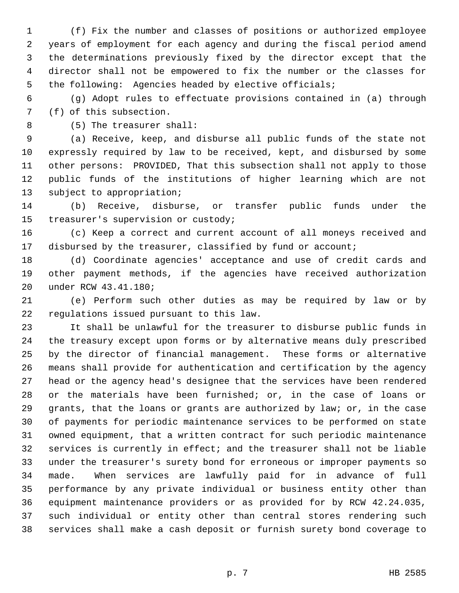1 (f) Fix the number and classes of positions or authorized employee 2 years of employment for each agency and during the fiscal period amend 3 the determinations previously fixed by the director except that the 4 director shall not be empowered to fix the number or the classes for 5 the following: Agencies headed by elective officials;

 6 (g) Adopt rules to effectuate provisions contained in (a) through 7 (f) of this subsection.

8 (5) The treasurer shall:

 9 (a) Receive, keep, and disburse all public funds of the state not 10 expressly required by law to be received, kept, and disbursed by some 11 other persons: PROVIDED, That this subsection shall not apply to those 12 public funds of the institutions of higher learning which are not 13 subject to appropriation;

14 (b) Receive, disburse, or transfer public funds under the 15 treasurer's supervision or custody;

16 (c) Keep a correct and current account of all moneys received and 17 disbursed by the treasurer, classified by fund or account;

18 (d) Coordinate agencies' acceptance and use of credit cards and 19 other payment methods, if the agencies have received authorization 20 under RCW 43.41.180;

21 (e) Perform such other duties as may be required by law or by 22 regulations issued pursuant to this law.

23 It shall be unlawful for the treasurer to disburse public funds in 24 the treasury except upon forms or by alternative means duly prescribed 25 by the director of financial management. These forms or alternative 26 means shall provide for authentication and certification by the agency 27 head or the agency head's designee that the services have been rendered 28 or the materials have been furnished; or, in the case of loans or 29 grants, that the loans or grants are authorized by law; or, in the case 30 of payments for periodic maintenance services to be performed on state 31 owned equipment, that a written contract for such periodic maintenance 32 services is currently in effect; and the treasurer shall not be liable 33 under the treasurer's surety bond for erroneous or improper payments so 34 made. When services are lawfully paid for in advance of full 35 performance by any private individual or business entity other than 36 equipment maintenance providers or as provided for by RCW 42.24.035, 37 such individual or entity other than central stores rendering such 38 services shall make a cash deposit or furnish surety bond coverage to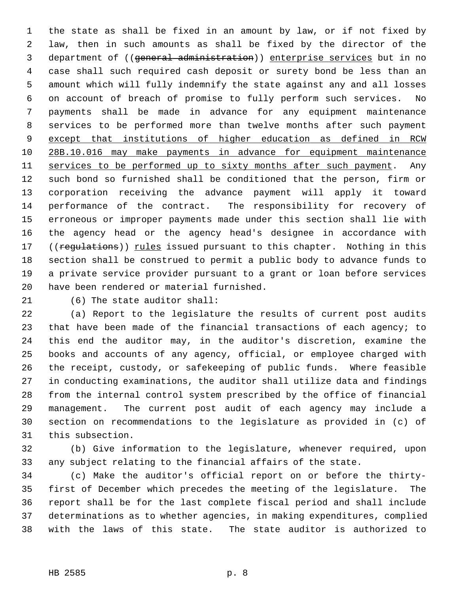1 the state as shall be fixed in an amount by law, or if not fixed by 2 law, then in such amounts as shall be fixed by the director of the 3 department of ((general administration)) enterprise services but in no 4 case shall such required cash deposit or surety bond be less than an 5 amount which will fully indemnify the state against any and all losses 6 on account of breach of promise to fully perform such services. No 7 payments shall be made in advance for any equipment maintenance 8 services to be performed more than twelve months after such payment 9 except that institutions of higher education as defined in RCW 10 28B.10.016 may make payments in advance for equipment maintenance 11 services to be performed up to sixty months after such payment. Any 12 such bond so furnished shall be conditioned that the person, firm or 13 corporation receiving the advance payment will apply it toward 14 performance of the contract. The responsibility for recovery of 15 erroneous or improper payments made under this section shall lie with 16 the agency head or the agency head's designee in accordance with 17 ((regulations)) rules issued pursuant to this chapter. Nothing in this 18 section shall be construed to permit a public body to advance funds to 19 a private service provider pursuant to a grant or loan before services 20 have been rendered or material furnished.

21 (6) The state auditor shall:

22 (a) Report to the legislature the results of current post audits 23 that have been made of the financial transactions of each agency; to 24 this end the auditor may, in the auditor's discretion, examine the 25 books and accounts of any agency, official, or employee charged with 26 the receipt, custody, or safekeeping of public funds. Where feasible 27 in conducting examinations, the auditor shall utilize data and findings 28 from the internal control system prescribed by the office of financial 29 management. The current post audit of each agency may include a 30 section on recommendations to the legislature as provided in (c) of 31 this subsection.

32 (b) Give information to the legislature, whenever required, upon 33 any subject relating to the financial affairs of the state.

34 (c) Make the auditor's official report on or before the thirty-35 first of December which precedes the meeting of the legislature. The 36 report shall be for the last complete fiscal period and shall include 37 determinations as to whether agencies, in making expenditures, complied 38 with the laws of this state. The state auditor is authorized to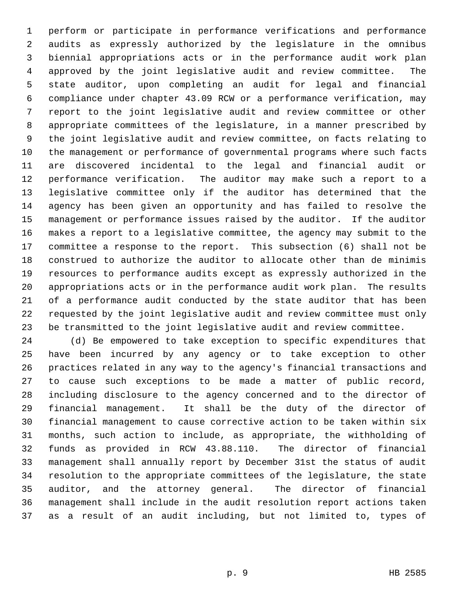1 perform or participate in performance verifications and performance 2 audits as expressly authorized by the legislature in the omnibus 3 biennial appropriations acts or in the performance audit work plan 4 approved by the joint legislative audit and review committee. The 5 state auditor, upon completing an audit for legal and financial 6 compliance under chapter 43.09 RCW or a performance verification, may 7 report to the joint legislative audit and review committee or other 8 appropriate committees of the legislature, in a manner prescribed by 9 the joint legislative audit and review committee, on facts relating to 10 the management or performance of governmental programs where such facts 11 are discovered incidental to the legal and financial audit or 12 performance verification. The auditor may make such a report to a 13 legislative committee only if the auditor has determined that the 14 agency has been given an opportunity and has failed to resolve the 15 management or performance issues raised by the auditor. If the auditor 16 makes a report to a legislative committee, the agency may submit to the 17 committee a response to the report. This subsection (6) shall not be 18 construed to authorize the auditor to allocate other than de minimis 19 resources to performance audits except as expressly authorized in the 20 appropriations acts or in the performance audit work plan. The results 21 of a performance audit conducted by the state auditor that has been 22 requested by the joint legislative audit and review committee must only 23 be transmitted to the joint legislative audit and review committee.

24 (d) Be empowered to take exception to specific expenditures that 25 have been incurred by any agency or to take exception to other 26 practices related in any way to the agency's financial transactions and 27 to cause such exceptions to be made a matter of public record, 28 including disclosure to the agency concerned and to the director of 29 financial management. It shall be the duty of the director of 30 financial management to cause corrective action to be taken within six 31 months, such action to include, as appropriate, the withholding of 32 funds as provided in RCW 43.88.110. The director of financial 33 management shall annually report by December 31st the status of audit 34 resolution to the appropriate committees of the legislature, the state 35 auditor, and the attorney general. The director of financial 36 management shall include in the audit resolution report actions taken 37 as a result of an audit including, but not limited to, types of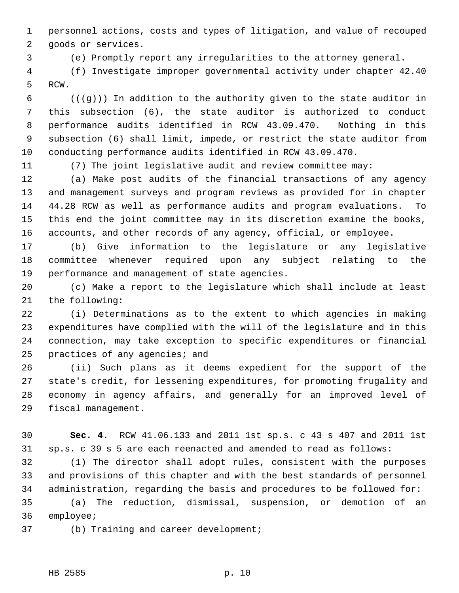1 personnel actions, costs and types of litigation, and value of recouped 2 goods or services.

3 (e) Promptly report any irregularities to the attorney general.

 4 (f) Investigate improper governmental activity under chapter 42.40 5 RCW.

6 ( $(\frac{1}{9})$ ) In addition to the authority given to the state auditor in 7 this subsection (6), the state auditor is authorized to conduct 8 performance audits identified in RCW 43.09.470. Nothing in this 9 subsection (6) shall limit, impede, or restrict the state auditor from 10 conducting performance audits identified in RCW 43.09.470.

11 (7) The joint legislative audit and review committee may:

12 (a) Make post audits of the financial transactions of any agency 13 and management surveys and program reviews as provided for in chapter 14 44.28 RCW as well as performance audits and program evaluations. To 15 this end the joint committee may in its discretion examine the books, 16 accounts, and other records of any agency, official, or employee.

17 (b) Give information to the legislature or any legislative 18 committee whenever required upon any subject relating to the 19 performance and management of state agencies.

20 (c) Make a report to the legislature which shall include at least 21 the following:

22 (i) Determinations as to the extent to which agencies in making 23 expenditures have complied with the will of the legislature and in this 24 connection, may take exception to specific expenditures or financial 25 practices of any agencies; and

26 (ii) Such plans as it deems expedient for the support of the 27 state's credit, for lessening expenditures, for promoting frugality and 28 economy in agency affairs, and generally for an improved level of 29 fiscal management.

30 **Sec. 4.** RCW 41.06.133 and 2011 1st sp.s. c 43 s 407 and 2011 1st 31 sp.s. c 39 s 5 are each reenacted and amended to read as follows:

32 (1) The director shall adopt rules, consistent with the purposes 33 and provisions of this chapter and with the best standards of personnel 34 administration, regarding the basis and procedures to be followed for:

35 (a) The reduction, dismissal, suspension, or demotion of an 36 employee;

37 (b) Training and career development;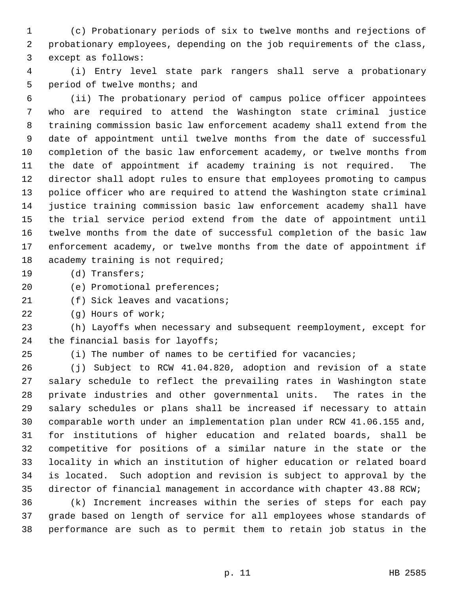1 (c) Probationary periods of six to twelve months and rejections of 2 probationary employees, depending on the job requirements of the class, 3 except as follows:

 4 (i) Entry level state park rangers shall serve a probationary 5 period of twelve months; and

 6 (ii) The probationary period of campus police officer appointees 7 who are required to attend the Washington state criminal justice 8 training commission basic law enforcement academy shall extend from the 9 date of appointment until twelve months from the date of successful 10 completion of the basic law enforcement academy, or twelve months from 11 the date of appointment if academy training is not required. The 12 director shall adopt rules to ensure that employees promoting to campus 13 police officer who are required to attend the Washington state criminal 14 justice training commission basic law enforcement academy shall have 15 the trial service period extend from the date of appointment until 16 twelve months from the date of successful completion of the basic law 17 enforcement academy, or twelve months from the date of appointment if 18 academy training is not required;

19 (d) Transfers;

20 (e) Promotional preferences;

21 (f) Sick leaves and vacations;

22 (g) Hours of work;

23 (h) Layoffs when necessary and subsequent reemployment, except for 24 the financial basis for layoffs;

25 (i) The number of names to be certified for vacancies;

26 (j) Subject to RCW 41.04.820, adoption and revision of a state 27 salary schedule to reflect the prevailing rates in Washington state 28 private industries and other governmental units. The rates in the 29 salary schedules or plans shall be increased if necessary to attain 30 comparable worth under an implementation plan under RCW 41.06.155 and, 31 for institutions of higher education and related boards, shall be 32 competitive for positions of a similar nature in the state or the 33 locality in which an institution of higher education or related board 34 is located. Such adoption and revision is subject to approval by the 35 director of financial management in accordance with chapter 43.88 RCW;

36 (k) Increment increases within the series of steps for each pay 37 grade based on length of service for all employees whose standards of 38 performance are such as to permit them to retain job status in the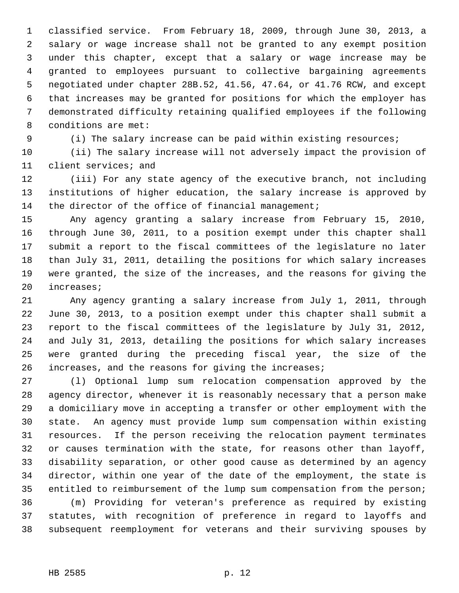1 classified service. From February 18, 2009, through June 30, 2013, a 2 salary or wage increase shall not be granted to any exempt position 3 under this chapter, except that a salary or wage increase may be 4 granted to employees pursuant to collective bargaining agreements 5 negotiated under chapter 28B.52, 41.56, 47.64, or 41.76 RCW, and except 6 that increases may be granted for positions for which the employer has 7 demonstrated difficulty retaining qualified employees if the following 8 conditions are met:

9 (i) The salary increase can be paid within existing resources;

10 (ii) The salary increase will not adversely impact the provision of 11 client services; and

12 (iii) For any state agency of the executive branch, not including 13 institutions of higher education, the salary increase is approved by 14 the director of the office of financial management;

15 Any agency granting a salary increase from February 15, 2010, 16 through June 30, 2011, to a position exempt under this chapter shall 17 submit a report to the fiscal committees of the legislature no later 18 than July 31, 2011, detailing the positions for which salary increases 19 were granted, the size of the increases, and the reasons for giving the 20 increases;

21 Any agency granting a salary increase from July 1, 2011, through 22 June 30, 2013, to a position exempt under this chapter shall submit a 23 report to the fiscal committees of the legislature by July 31, 2012, 24 and July 31, 2013, detailing the positions for which salary increases 25 were granted during the preceding fiscal year, the size of the 26 increases, and the reasons for giving the increases;

27 (l) Optional lump sum relocation compensation approved by the 28 agency director, whenever it is reasonably necessary that a person make 29 a domiciliary move in accepting a transfer or other employment with the 30 state. An agency must provide lump sum compensation within existing 31 resources. If the person receiving the relocation payment terminates 32 or causes termination with the state, for reasons other than layoff, 33 disability separation, or other good cause as determined by an agency 34 director, within one year of the date of the employment, the state is 35 entitled to reimbursement of the lump sum compensation from the person;

36 (m) Providing for veteran's preference as required by existing 37 statutes, with recognition of preference in regard to layoffs and 38 subsequent reemployment for veterans and their surviving spouses by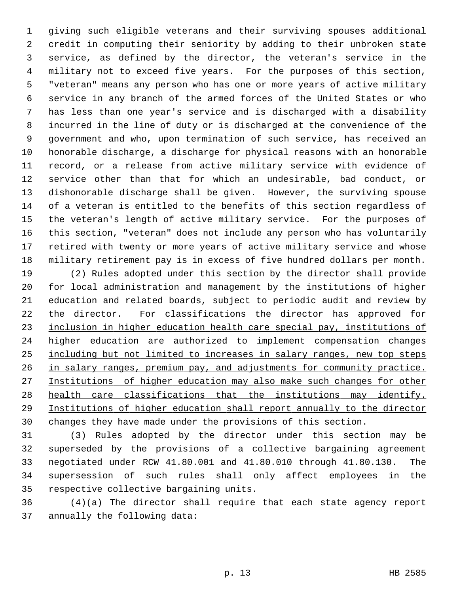1 giving such eligible veterans and their surviving spouses additional 2 credit in computing their seniority by adding to their unbroken state 3 service, as defined by the director, the veteran's service in the 4 military not to exceed five years. For the purposes of this section, 5 "veteran" means any person who has one or more years of active military 6 service in any branch of the armed forces of the United States or who 7 has less than one year's service and is discharged with a disability 8 incurred in the line of duty or is discharged at the convenience of the 9 government and who, upon termination of such service, has received an 10 honorable discharge, a discharge for physical reasons with an honorable 11 record, or a release from active military service with evidence of 12 service other than that for which an undesirable, bad conduct, or 13 dishonorable discharge shall be given. However, the surviving spouse 14 of a veteran is entitled to the benefits of this section regardless of 15 the veteran's length of active military service. For the purposes of 16 this section, "veteran" does not include any person who has voluntarily 17 retired with twenty or more years of active military service and whose 18 military retirement pay is in excess of five hundred dollars per month.

19 (2) Rules adopted under this section by the director shall provide 20 for local administration and management by the institutions of higher 21 education and related boards, subject to periodic audit and review by 22 the director. For classifications the director has approved for inclusion in higher education health care special pay, institutions of higher education are authorized to implement compensation changes including but not limited to increases in salary ranges, new top steps in salary ranges, premium pay, and adjustments for community practice. Institutions of higher education may also make such changes for other health care classifications that the institutions may identify. Institutions of higher education shall report annually to the director changes they have made under the provisions of this section.

31 (3) Rules adopted by the director under this section may be 32 superseded by the provisions of a collective bargaining agreement 33 negotiated under RCW 41.80.001 and 41.80.010 through 41.80.130. The 34 supersession of such rules shall only affect employees in the 35 respective collective bargaining units.

36 (4)(a) The director shall require that each state agency report 37 annually the following data: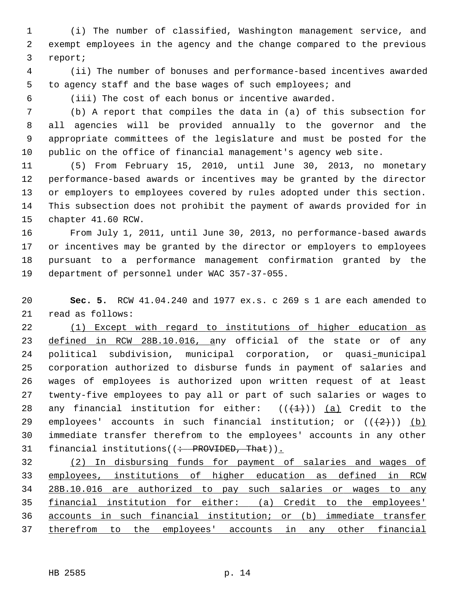1 (i) The number of classified, Washington management service, and 2 exempt employees in the agency and the change compared to the previous 3 report;

 4 (ii) The number of bonuses and performance-based incentives awarded 5 to agency staff and the base wages of such employees; and

6 (iii) The cost of each bonus or incentive awarded.

 7 (b) A report that compiles the data in (a) of this subsection for 8 all agencies will be provided annually to the governor and the 9 appropriate committees of the legislature and must be posted for the 10 public on the office of financial management's agency web site.

11 (5) From February 15, 2010, until June 30, 2013, no monetary 12 performance-based awards or incentives may be granted by the director 13 or employers to employees covered by rules adopted under this section. 14 This subsection does not prohibit the payment of awards provided for in 15 chapter 41.60 RCW.

16 From July 1, 2011, until June 30, 2013, no performance-based awards 17 or incentives may be granted by the director or employers to employees 18 pursuant to a performance management confirmation granted by the 19 department of personnel under WAC 357-37-055.

20 **Sec. 5.** RCW 41.04.240 and 1977 ex.s. c 269 s 1 are each amended to 21 read as follows:

22 (1) Except with regard to institutions of higher education as 23 defined in RCW 28B.10.016, any official of the state or of any 24 political subdivision, municipal corporation, or quasi-municipal 25 corporation authorized to disburse funds in payment of salaries and 26 wages of employees is authorized upon written request of at least 27 twenty-five employees to pay all or part of such salaries or wages to 28 any financial institution for either:  $((+1))$  (a) Credit to the 29 employees' accounts in such financial institution; or  $((+2))$  (b) 30 immediate transfer therefrom to the employees' accounts in any other 31 financial institutions( $($  + PROVIDED, That)).

 (2) In disbursing funds for payment of salaries and wages of employees, institutions of higher education as defined in RCW 28B.10.016 are authorized to pay such salaries or wages to any financial institution for either: (a) Credit to the employees' accounts in such financial institution; or (b) immediate transfer therefrom to the employees' accounts in any other financial